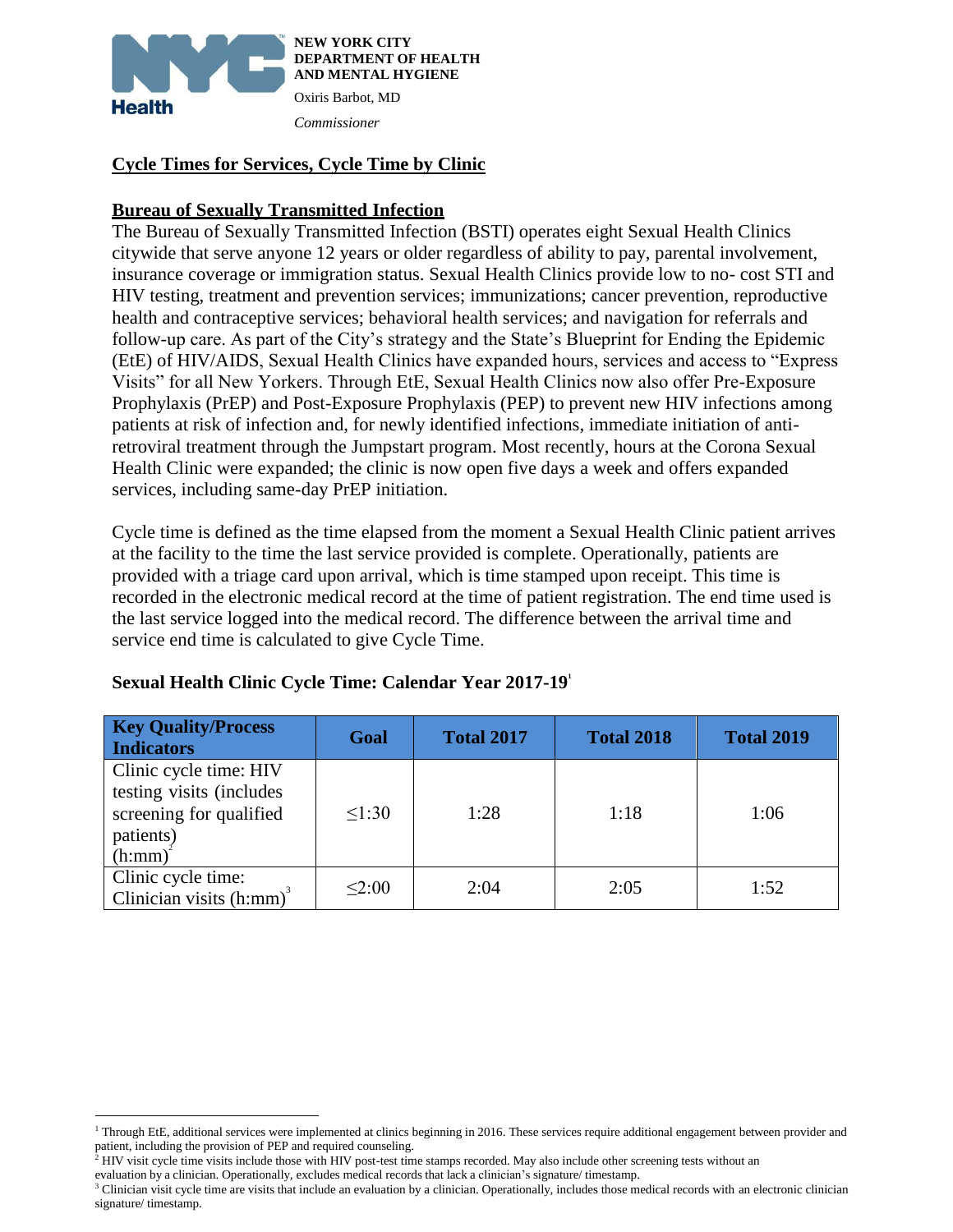

#### **Cycle Times for Services, Cycle Time by Clinic**

#### **Bureau of Sexually Transmitted Infection**

The Bureau of Sexually Transmitted Infection (BSTI) operates eight Sexual Health Clinics citywide that serve anyone 12 years or older regardless of ability to pay, parental involvement, insurance coverage or immigration status. Sexual Health Clinics provide low to no- cost STI and HIV testing, treatment and prevention services; immunizations; cancer prevention, reproductive health and contraceptive services; behavioral health services; and navigation for referrals and follow-up care. As part of the City's strategy and the State's Blueprint for Ending the Epidemic (EtE) of HIV/AIDS, Sexual Health Clinics have expanded hours, services and access to "Express Visits" for all New Yorkers. Through EtE, Sexual Health Clinics now also offer Pre-Exposure Prophylaxis (PrEP) and Post-Exposure Prophylaxis (PEP) to prevent new HIV infections among patients at risk of infection and, for newly identified infections, immediate initiation of antiretroviral treatment through the Jumpstart program. Most recently, hours at the Corona Sexual Health Clinic were expanded; the clinic is now open five days a week and offers expanded services, including same-day PrEP initiation.

Cycle time is defined as the time elapsed from the moment a Sexual Health Clinic patient arrives at the facility to the time the last service provided is complete. Operationally, patients are provided with a triage card upon arrival, which is time stamped upon receipt. This time is recorded in the electronic medical record at the time of patient registration. The end time used is the last service logged into the medical record. The difference between the arrival time and service end time is calculated to give Cycle Time.

| <b>Key Quality/Process</b><br>Indicators                                                             | Goal   | <b>Total 2017</b> | <b>Total 2018</b> | <b>Total 2019</b> |
|------------------------------------------------------------------------------------------------------|--------|-------------------|-------------------|-------------------|
| Clinic cycle time: HIV<br>testing visits (includes<br>screening for qualified<br>patients)<br>(h:mm) | 1:30   | 1:28              | 1:18              | 1:06              |
| Clinic cycle time:<br>Clinician visits $(h:mm)^3$                                                    | < 2:00 | 2:04              | 2:05              | 1:52              |

#### **Sexual Health Clinic Cycle Time: Calendar Year 2017-19 1**

evaluation by a clinician. Operationally, excludes medical records that lack a clinician's signature/ timestamp.

 $\overline{a}$ 

<sup>&</sup>lt;sup>1</sup> Through EtE, additional services were implemented at clinics beginning in 2016. These services require additional engagement between provider and patient, including the provision of PEP and required counseling.

 $<sup>2</sup>$  HIV visit cycle time visits include those with HIV post-test time stamps recorded. May also include other screening tests without an</sup>

<sup>&</sup>lt;sup>3</sup> Clinician visit cycle time are visits that include an evaluation by a clinician. Operationally, includes those medical records with an electronic clinician signature/ timestamp.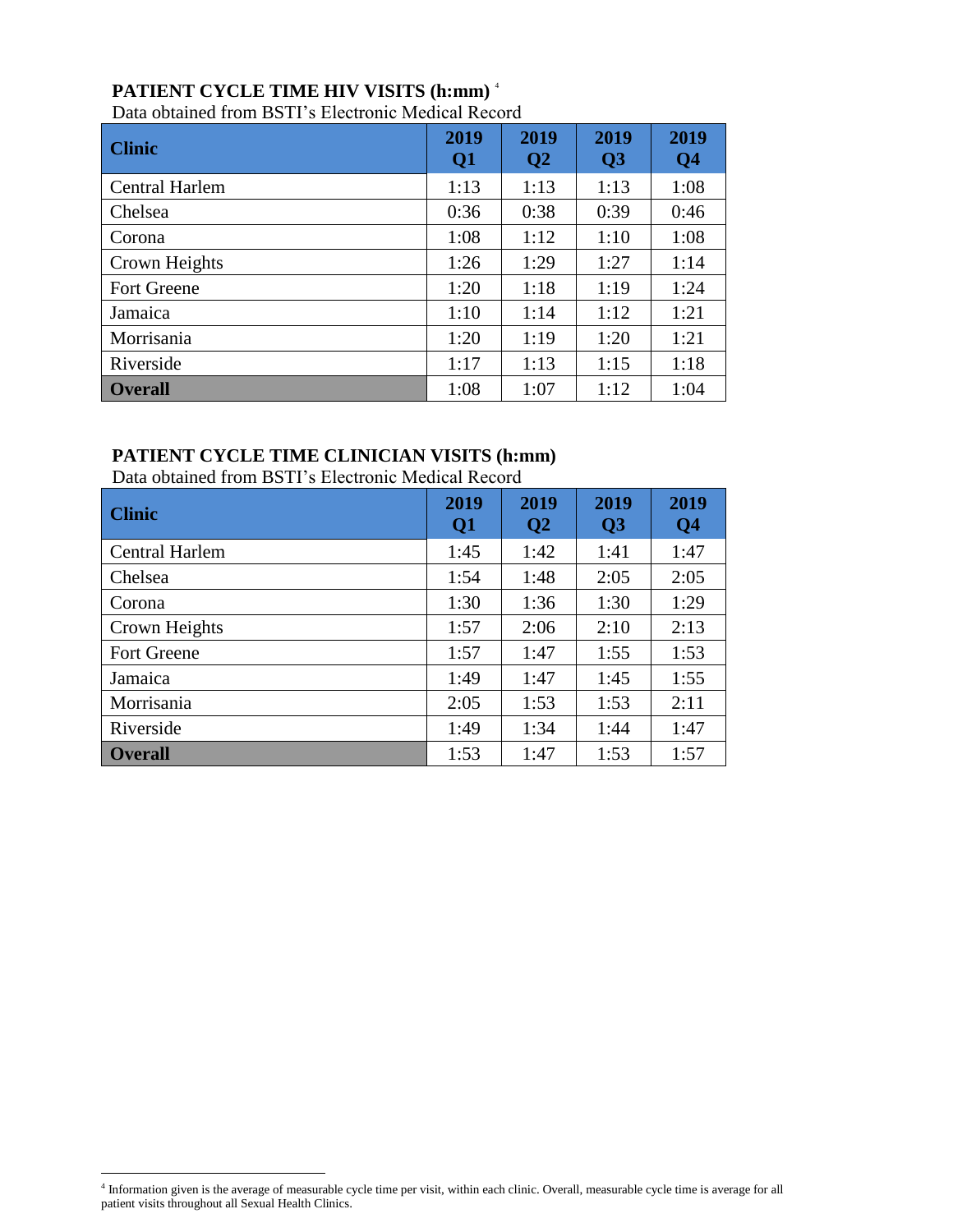# **PATIENT CYCLE TIME HIV VISITS (h:mm)** <sup>4</sup>

Data obtained from BSTI's Electronic Medical Record

| <b>Clinic</b>      | 2019<br>Q <sub>1</sub> | 2019<br>Q <sub>2</sub> | 2019<br>$\overline{Q}3$ | 2019<br>Q <sub>4</sub> |
|--------------------|------------------------|------------------------|-------------------------|------------------------|
| Central Harlem     | 1:13                   | 1:13                   | 1:13                    | 1:08                   |
| Chelsea            | 0:36                   | 0:38                   | 0:39                    | 0:46                   |
| Corona             | 1:08                   | 1:12                   | 1:10                    | 1:08                   |
| Crown Heights      | 1:26                   | 1:29                   | 1:27                    | 1:14                   |
| <b>Fort Greene</b> | 1:20                   | 1:18                   | 1:19                    | 1:24                   |
| Jamaica            | 1:10                   | 1:14                   | 1:12                    | 1:21                   |
| Morrisania         | 1:20                   | 1:19                   | 1:20                    | 1:21                   |
| Riverside          | 1:17                   | 1:13                   | 1:15                    | 1:18                   |
| <b>Overall</b>     | 1:08                   | 1:07                   | 1:12                    | 1:04                   |

# **PATIENT CYCLE TIME CLINICIAN VISITS (h:mm)**

Data obtained from BSTI's Electronic Medical Record

| <b>Clinic</b>      | 2019<br>Q1 | 2019<br>Q <sub>2</sub> | 2019<br>Q <sub>3</sub> | 2019<br>Q <sub>4</sub> |
|--------------------|------------|------------------------|------------------------|------------------------|
| Central Harlem     | 1:45       | 1:42                   | 1:41                   | 1:47                   |
| Chelsea            | 1:54       | 1:48                   | 2:05                   | 2:05                   |
| Corona             | 1:30       | 1:36                   | 1:30                   | 1:29                   |
| Crown Heights      | 1:57       | 2:06                   | 2:10                   | 2:13                   |
| <b>Fort Greene</b> | 1:57       | 1:47                   | 1:55                   | 1:53                   |
| Jamaica            | 1:49       | 1:47                   | 1:45                   | 1:55                   |
| Morrisania         | 2:05       | 1:53                   | 1:53                   | 2:11                   |
| Riverside          | 1:49       | 1:34                   | 1:44                   | 1:47                   |
| <b>Overall</b>     | 1:53       | 1:47                   | 1:53                   | 1:57                   |

 $\overline{a}$ 4 Information given is the average of measurable cycle time per visit, within each clinic. Overall, measurable cycle time is average for all patient visits throughout all Sexual Health Clinics.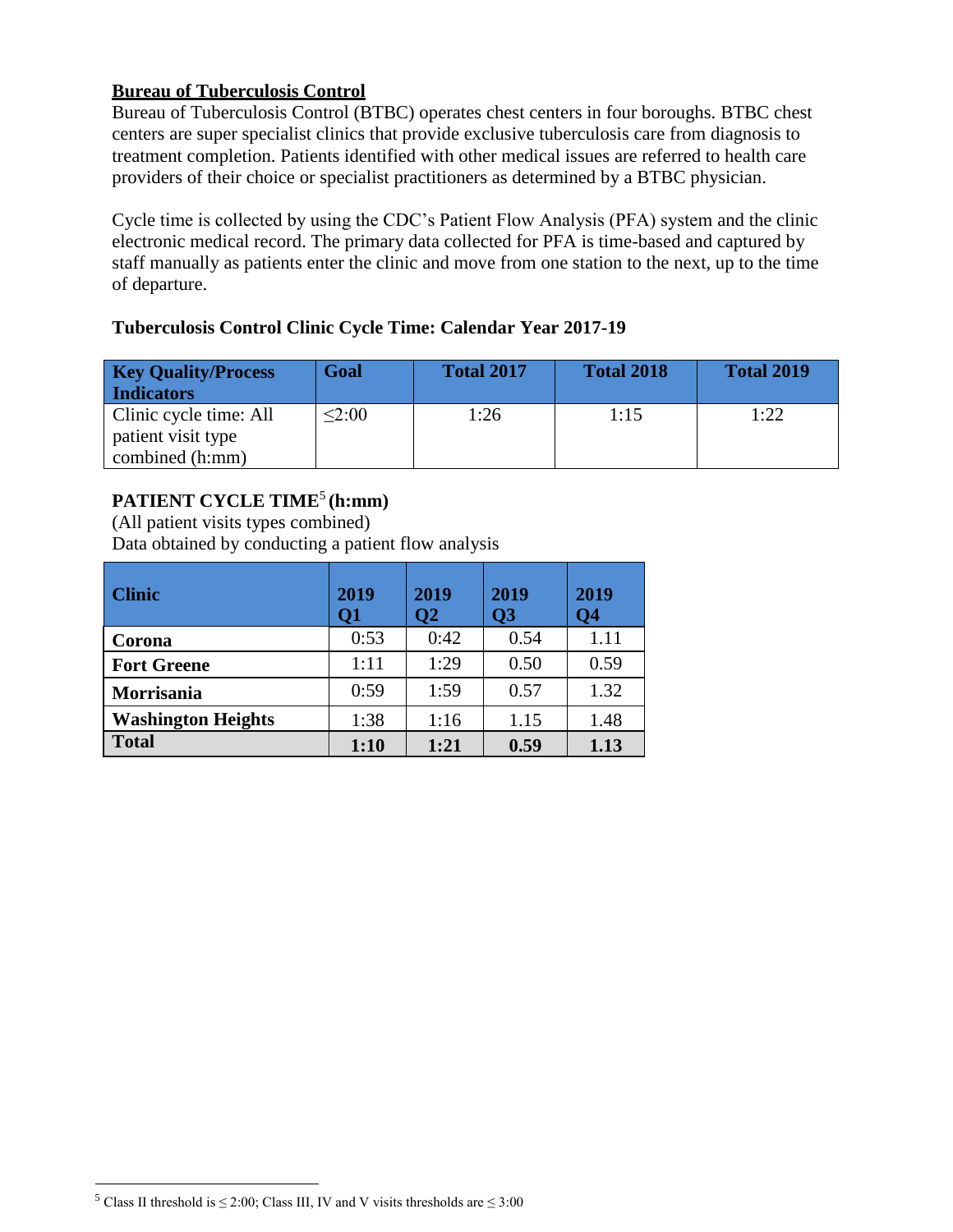#### **Bureau of Tuberculosis Control**

Bureau of Tuberculosis Control (BTBC) operates chest centers in four boroughs. BTBC chest centers are super specialist clinics that provide exclusive tuberculosis care from diagnosis to treatment completion. Patients identified with other medical issues are referred to health care providers of their choice or specialist practitioners as determined by a BTBC physician.

Cycle time is collected by using the CDC's Patient Flow Analysis (PFA) system and the clinic electronic medical record. The primary data collected for PFA is time-based and captured by staff manually as patients enter the clinic and move from one station to the next, up to the time of departure.

## **Tuberculosis Control Clinic Cycle Time: Calendar Year 2017-19**

| <b>Key Quality/Process</b> | Goal   | <b>Total 2017</b> | <b>Total 2018</b> | <b>Total 2019</b> |
|----------------------------|--------|-------------------|-------------------|-------------------|
| <b>Indicators</b>          |        |                   |                   |                   |
| Clinic cycle time: All     | < 2:00 | 1:26              | 1:15              | 1:22              |
| patient visit type         |        |                   |                   |                   |
| combined (h:mm)            |        |                   |                   |                   |

# **PATIENT CYCLE TIME**<sup>5</sup> **(h:mm)**

(All patient visits types combined) Data obtained by conducting a patient flow analysis

| <b>Clinic</b>             | 2019<br>Q1 | 2019<br>$\overline{O2}$ | 2019<br>$\overline{O3}$ | 2019<br>Q4 |
|---------------------------|------------|-------------------------|-------------------------|------------|
| Corona                    | 0:53       | 0:42                    | 0.54                    | 1.11       |
| <b>Fort Greene</b>        | 1:11       | 1:29                    | 0.50                    | 0.59       |
| Morrisania                | 0:59       | 1:59                    | 0.57                    | 1.32       |
| <b>Washington Heights</b> | 1:38       | 1:16                    | 1.15                    | 1.48       |
| <b>Total</b>              | 1:10       | 1:21                    | 0.59                    | 1.13       |

 $\overline{a}$ 

<sup>&</sup>lt;sup>5</sup> Class II threshold is  $\leq$  2:00; Class III, IV and V visits thresholds are  $\leq$  3:00